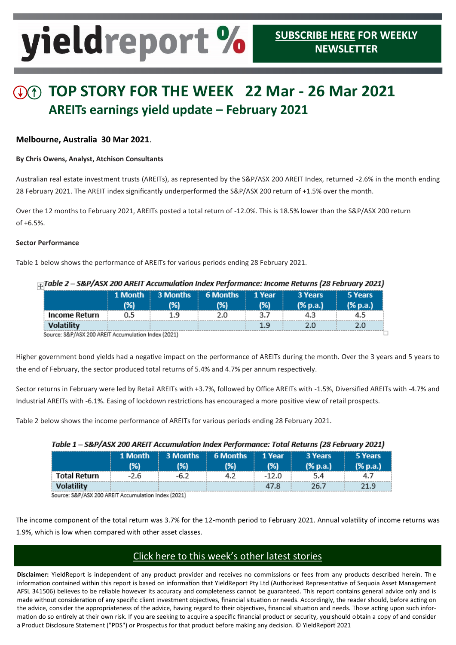# yieldreport %

## **TOP STORY FOR THE WEEK 22 Mar - 26 Mar 2021 AREITs earnings yield update – February 2021**

#### **Melbourne, Australia 30 Mar 2021**.

#### **By Chris Owens, Analyst, Atchison Consultants**

Australian real estate investment trusts (AREITs), as represented by the S&P/ASX 200 AREIT Index, returned -2.6% in the month ending 28 February 2021. The AREIT index significantly underperformed the S&P/ASX 200 return of +1.5% over the month.

Over the 12 months to February 2021, AREITs posted a total return of -12.0%. This is 18.5% lower than the S&P/ASX 200 return of +6.5%.

#### **Sector Performance**

Table 1 below shows the performance of AREITs for various periods ending 28 February 2021.

| Table 2 – S&P/ASX 200 AREIT Accumulation Index Performance: Income Returns (28 February 2021). |     |                                         |     |               |                     |                     |  |  |  |
|------------------------------------------------------------------------------------------------|-----|-----------------------------------------|-----|---------------|---------------------|---------------------|--|--|--|
|                                                                                                | (%) | <b>1 Month 3 Months 6 Months</b><br>(%) | (%) | 1 Year<br>(%) | 3 Years<br>(% p.a.) | 5 Years<br>(% p.a.) |  |  |  |
| Income Return                                                                                  | 0.5 | 1.9                                     | 2.0 | 3.7           | 4.3                 | 4.5                 |  |  |  |
| <b>Volatility</b>                                                                              |     |                                         |     | 1.9           | 2.0                 | 2.0                 |  |  |  |
| Source: S&P/ASX 200 AREIT Accumulation Index (2021)                                            |     |                                         |     |               |                     |                     |  |  |  |

Source: S&P/ASX 200 AREIT Accumulation Index (2021)

Higher government bond yields had a negative impact on the performance of AREITs during the month. Over the 3 years and 5 years to the end of February, the sector produced total returns of 5.4% and 4.7% per annum respectively.

Sector returns in February were led by Retail AREITs with +3.7%, followed by Office AREITs with -1.5%, Diversified AREITs with -4.7% and Industrial AREITs with -6.1%. Easing of lockdown restrictions has encouraged a more positive view of retail prospects.

Table 2 below shows the income performance of AREITs for various periods ending 28 February 2021.

| $\ldots$            |         |      |                              |       |          |          |  |  |  |  |
|---------------------|---------|------|------------------------------|-------|----------|----------|--|--|--|--|
|                     | 1 Month |      | 3 Months   6 Months   1 Year |       | 3 Years  | 5 Years  |  |  |  |  |
|                     | (%)     | (%)  | (%)                          | (%)   | (% p.a.) | (% p.a.) |  |  |  |  |
| <b>Total Return</b> | $-2.6$  | -6.2 | 4.2                          | -12.0 | 5.4      | 4.7      |  |  |  |  |
| <b>Volatility</b>   |         |      |                              | 47.8  | 26.7     | 21.9     |  |  |  |  |

#### Table 1 \_ S&D/ASY 200 AREIT Accumulation Index Recformance: Total Returns (28 February 2021)

Source: S&P/ASX 200 AREIT Accumulation Index (2021)

The income component of the total return was 3.7% for the 12-month period to February 2021. Annual volatility of income returns was 1.9%, which is low when compared with other asset classes.

### [Click here to this week's other latest stories](https://www.yieldreport.com.au/)

**Disclaimer:** YieldReport is independent of any product provider and receives no commissions or fees from any products described herein. Th e information contained within this report is based on information that YieldReport Pty Ltd (Authorised Representative of Sequoia Asset Management AFSL 341506) believes to be reliable however its accuracy and completeness cannot be guaranteed. This report contains general advice only and is made without consideration of any specific client investment objectives, financial situation or needs. Accordingly, the reader should, before acting on the advice, consider the appropriateness of the advice, having regard to their objectives, financial situation and needs. Those acting upon such information do so entirely at their own risk. If you are seeking to acquire a specific financial product or security, you should obtain a copy of and consider a Product Disclosure Statement ("PDS") or Prospectus for that product before making any decision. © YieldReport 2021